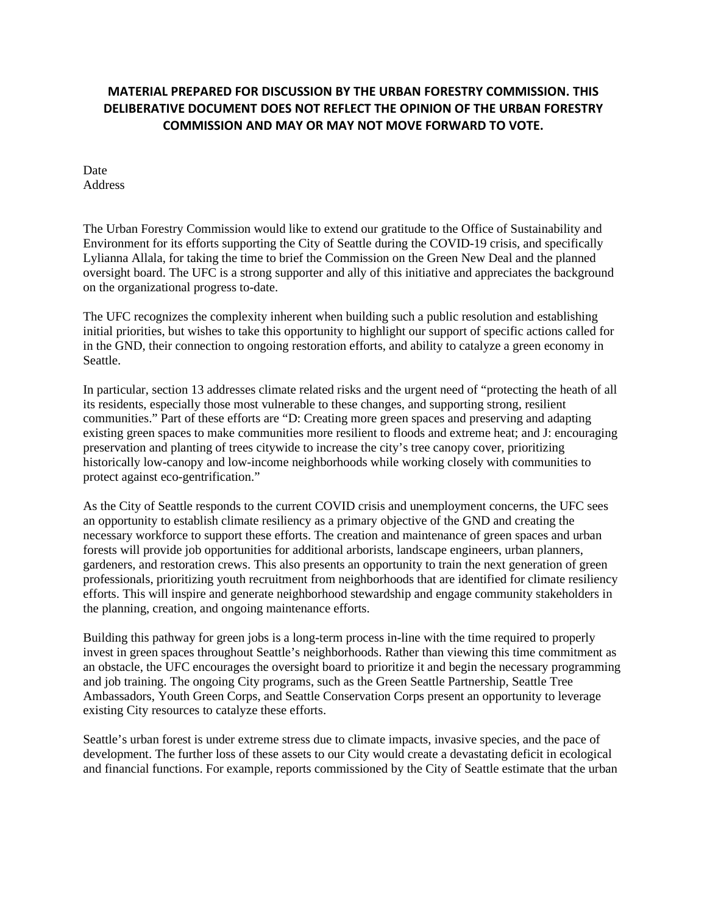## **MATERIAL PREPARED FOR DISCUSSION BY THE URBAN FORESTRY COMMISSION. THIS DELIBERATIVE DOCUMENT DOES NOT REFLECT THE OPINION OF THE URBAN FORESTRY COMMISSION AND MAY OR MAY NOT MOVE FORWARD TO VOTE.**

Date Address

The Urban Forestry Commission would like to extend our gratitude to the Office of Sustainability and Environment for its efforts supporting the City of Seattle during the COVID-19 crisis, and specifically Lylianna Allala, for taking the time to brief the Commission on the Green New Deal and the planned oversight board. The UFC is a strong supporter and ally of this initiative and appreciates the background on the organizational progress to-date.

The UFC recognizes the complexity inherent when building such a public resolution and establishing initial priorities, but wishes to take this opportunity to highlight our support of specific actions called for in the GND, their connection to ongoing restoration efforts, and ability to catalyze a green economy in Seattle.

In particular, section 13 addresses climate related risks and the urgent need of "protecting the heath of all its residents, especially those most vulnerable to these changes, and supporting strong, resilient communities." Part of these efforts are "D: Creating more green spaces and preserving and adapting existing green spaces to make communities more resilient to floods and extreme heat; and J: encouraging preservation and planting of trees citywide to increase the city's tree canopy cover, prioritizing historically low-canopy and low-income neighborhoods while working closely with communities to protect against eco-gentrification."

As the City of Seattle responds to the current COVID crisis and unemployment concerns, the UFC sees an opportunity to establish climate resiliency as a primary objective of the GND and creating the necessary workforce to support these efforts. The creation and maintenance of green spaces and urban forests will provide job opportunities for additional arborists, landscape engineers, urban planners, gardeners, and restoration crews. This also presents an opportunity to train the next generation of green professionals, prioritizing youth recruitment from neighborhoods that are identified for climate resiliency efforts. This will inspire and generate neighborhood stewardship and engage community stakeholders in the planning, creation, and ongoing maintenance efforts.

Building this pathway for green jobs is a long-term process in-line with the time required to properly invest in green spaces throughout Seattle's neighborhoods. Rather than viewing this time commitment as an obstacle, the UFC encourages the oversight board to prioritize it and begin the necessary programming and job training. The ongoing City programs, such as the Green Seattle Partnership, Seattle Tree Ambassadors, Youth Green Corps, and Seattle Conservation Corps present an opportunity to leverage existing City resources to catalyze these efforts.

Seattle's urban forest is under extreme stress due to climate impacts, invasive species, and the pace of development. The further loss of these assets to our City would create a devastating deficit in ecological and financial functions. For example, reports commissioned by the City of Seattle estimate that the urban